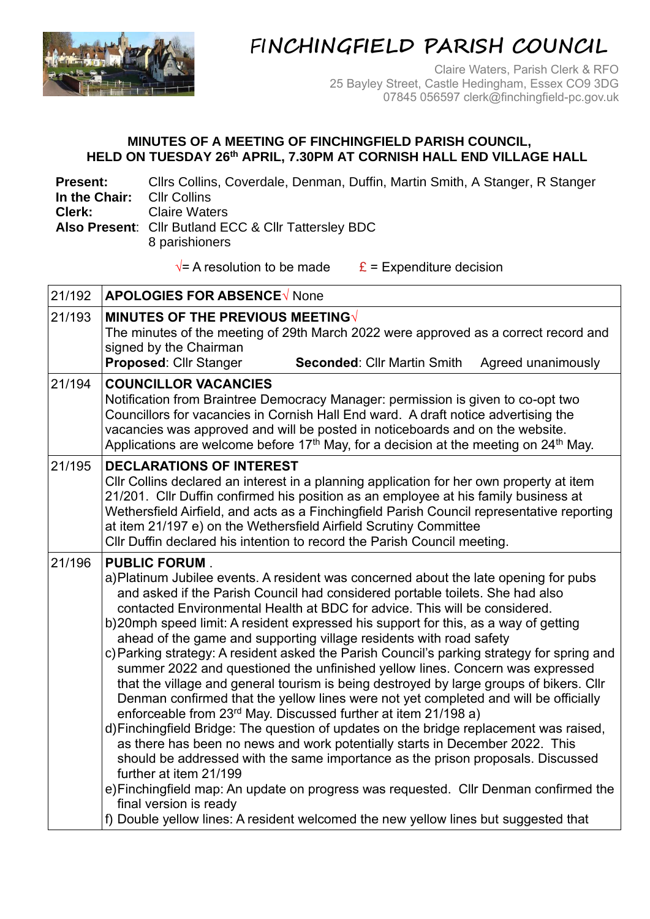

## FI**NCHINGFIELD PARISH COUNCIL**

Claire Waters, Parish Clerk & RFO 25 Bayley Street, Castle Hedingham, Essex CO9 3DG 07845 056597 clerk@finchingfield-pc.gov.uk

## **MINUTES OF A MEETING OF FINCHINGFIELD PARISH COUNCIL, HELD ON TUESDAY 26 th APRIL, 7.30PM AT CORNISH HALL END VILLAGE HALL**

| <b>Present:</b> |                                                                        | Cllrs Collins, Coverdale, Denman, Duffin, Martin Smith, A Stanger, R Stanger |
|-----------------|------------------------------------------------------------------------|------------------------------------------------------------------------------|
| In the Chair:   | CIIr Collins                                                           |                                                                              |
| <b>Clerk:</b>   | Claire Waters                                                          |                                                                              |
|                 | Also Present: Cllr Butland ECC & Cllr Tatterslev BDC<br>8 parishioners |                                                                              |
|                 | $\sqrt{2}$ A resolution to be made                                     | $E =$ Expenditure decision                                                   |

| 21/192 | <b>APOLOGIES FOR ABSENCE</b> V None                                                                                                                                                                                                                                                                                                                                                                                                                                                                                                                                                                                                                                                                                                                                                                                                                                                                                                                                                                                                                                                                                                                                                                                                                                                                                                                                          |  |  |
|--------|------------------------------------------------------------------------------------------------------------------------------------------------------------------------------------------------------------------------------------------------------------------------------------------------------------------------------------------------------------------------------------------------------------------------------------------------------------------------------------------------------------------------------------------------------------------------------------------------------------------------------------------------------------------------------------------------------------------------------------------------------------------------------------------------------------------------------------------------------------------------------------------------------------------------------------------------------------------------------------------------------------------------------------------------------------------------------------------------------------------------------------------------------------------------------------------------------------------------------------------------------------------------------------------------------------------------------------------------------------------------------|--|--|
| 21/193 | MINUTES OF THE PREVIOUS MEETING<br>The minutes of the meeting of 29th March 2022 were approved as a correct record and<br>signed by the Chairman<br>Proposed: Cllr Stanger<br>Seconded: Cllr Martin Smith<br>Agreed unanimously                                                                                                                                                                                                                                                                                                                                                                                                                                                                                                                                                                                                                                                                                                                                                                                                                                                                                                                                                                                                                                                                                                                                              |  |  |
| 21/194 | <b>COUNCILLOR VACANCIES</b><br>Notification from Braintree Democracy Manager: permission is given to co-opt two<br>Councillors for vacancies in Cornish Hall End ward. A draft notice advertising the<br>vacancies was approved and will be posted in noticeboards and on the website.<br>Applications are welcome before 17 <sup>th</sup> May, for a decision at the meeting on 24 <sup>th</sup> May.                                                                                                                                                                                                                                                                                                                                                                                                                                                                                                                                                                                                                                                                                                                                                                                                                                                                                                                                                                       |  |  |
| 21/195 | <b>DECLARATIONS OF INTEREST</b><br>CIIr Collins declared an interest in a planning application for her own property at item<br>21/201. Cllr Duffin confirmed his position as an employee at his family business at<br>Wethersfield Airfield, and acts as a Finchingfield Parish Council representative reporting<br>at item 21/197 e) on the Wethersfield Airfield Scrutiny Committee<br>CIIr Duffin declared his intention to record the Parish Council meeting.                                                                                                                                                                                                                                                                                                                                                                                                                                                                                                                                                                                                                                                                                                                                                                                                                                                                                                            |  |  |
| 21/196 | <b>PUBLIC FORUM.</b><br>a)Platinum Jubilee events. A resident was concerned about the late opening for pubs<br>and asked if the Parish Council had considered portable toilets. She had also<br>contacted Environmental Health at BDC for advice. This will be considered.<br>b) 20mph speed limit: A resident expressed his support for this, as a way of getting<br>ahead of the game and supporting village residents with road safety<br>c) Parking strategy: A resident asked the Parish Council's parking strategy for spring and<br>summer 2022 and questioned the unfinished yellow lines. Concern was expressed<br>that the village and general tourism is being destroyed by large groups of bikers. Cllr<br>Denman confirmed that the yellow lines were not yet completed and will be officially<br>enforceable from 23rd May. Discussed further at item 21/198 a)<br>d) Finchingfield Bridge: The question of updates on the bridge replacement was raised,<br>as there has been no news and work potentially starts in December 2022. This<br>should be addressed with the same importance as the prison proposals. Discussed<br>further at item 21/199<br>e)Finchingfield map: An update on progress was requested. Cllr Denman confirmed the<br>final version is ready<br>f) Double yellow lines: A resident welcomed the new yellow lines but suggested that |  |  |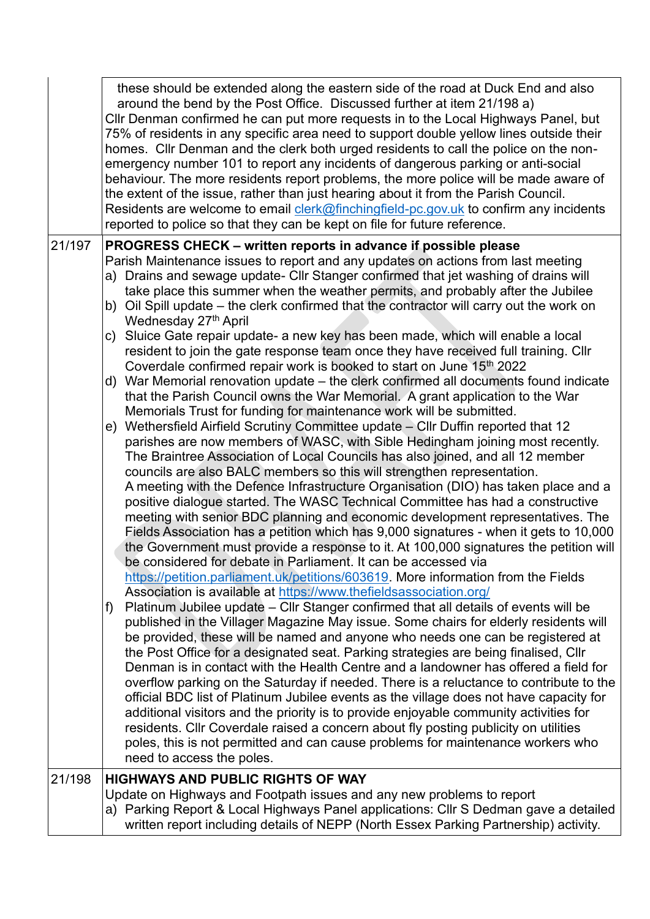|        | these should be extended along the eastern side of the road at Duck End and also<br>around the bend by the Post Office. Discussed further at item 21/198 a)<br>Cllr Denman confirmed he can put more requests in to the Local Highways Panel, but<br>75% of residents in any specific area need to support double yellow lines outside their<br>homes. Cllr Denman and the clerk both urged residents to call the police on the non-<br>emergency number 101 to report any incidents of dangerous parking or anti-social<br>behaviour. The more residents report problems, the more police will be made aware of<br>the extent of the issue, rather than just hearing about it from the Parish Council.<br>Residents are welcome to email clerk@finchingfield-pc.gov.uk to confirm any incidents<br>reported to police so that they can be kept on file for future reference.                                                                                                                                                                                                                                                                                                                                                                                                                                                                                                                                                                                                                                                                                                                                                                                                                                                                                                                                                                                                                                                                                                                                                                                                                                                                                                                                                                                                                                                                                                                                                                                                                                                                                                                                                                                                                                                                                                                                                                                                                                  |
|--------|----------------------------------------------------------------------------------------------------------------------------------------------------------------------------------------------------------------------------------------------------------------------------------------------------------------------------------------------------------------------------------------------------------------------------------------------------------------------------------------------------------------------------------------------------------------------------------------------------------------------------------------------------------------------------------------------------------------------------------------------------------------------------------------------------------------------------------------------------------------------------------------------------------------------------------------------------------------------------------------------------------------------------------------------------------------------------------------------------------------------------------------------------------------------------------------------------------------------------------------------------------------------------------------------------------------------------------------------------------------------------------------------------------------------------------------------------------------------------------------------------------------------------------------------------------------------------------------------------------------------------------------------------------------------------------------------------------------------------------------------------------------------------------------------------------------------------------------------------------------------------------------------------------------------------------------------------------------------------------------------------------------------------------------------------------------------------------------------------------------------------------------------------------------------------------------------------------------------------------------------------------------------------------------------------------------------------------------------------------------------------------------------------------------------------------------------------------------------------------------------------------------------------------------------------------------------------------------------------------------------------------------------------------------------------------------------------------------------------------------------------------------------------------------------------------------------------------------------------------------------------------------------------------------|
| 21/197 | <b>PROGRESS CHECK – written reports in advance if possible please</b><br>Parish Maintenance issues to report and any updates on actions from last meeting<br>a) Drains and sewage update- Cllr Stanger confirmed that jet washing of drains will<br>take place this summer when the weather permits, and probably after the Jubilee<br>b) Oil Spill update - the clerk confirmed that the contractor will carry out the work on<br>Wednesday 27 <sup>th</sup> April<br>Sluice Gate repair update- a new key has been made, which will enable a local<br>C)<br>resident to join the gate response team once they have received full training. Cllr<br>Coverdale confirmed repair work is booked to start on June 15 <sup>th</sup> 2022<br>d) War Memorial renovation update - the clerk confirmed all documents found indicate<br>that the Parish Council owns the War Memorial. A grant application to the War<br>Memorials Trust for funding for maintenance work will be submitted.<br>Wethersfield Airfield Scrutiny Committee update – Cllr Duffin reported that 12<br>e)<br>parishes are now members of WASC, with Sible Hedingham joining most recently.<br>The Braintree Association of Local Councils has also joined, and all 12 member<br>councils are also BALC members so this will strengthen representation.<br>A meeting with the Defence Infrastructure Organisation (DIO) has taken place and a<br>positive dialogue started. The WASC Technical Committee has had a constructive<br>meeting with senior BDC planning and economic development representatives. The<br>Fields Association has a petition which has 9,000 signatures - when it gets to 10,000<br>the Government must provide a response to it. At 100,000 signatures the petition will<br>be considered for debate in Parliament. It can be accessed via<br>https://petition.parliament.uk/petitions/603619. More information from the Fields<br>Association is available at https://www.thefieldsassociation.org/<br>Platinum Jubilee update - Cllr Stanger confirmed that all details of events will be<br>f)<br>published in the Villager Magazine May issue. Some chairs for elderly residents will<br>be provided, these will be named and anyone who needs one can be registered at<br>the Post Office for a designated seat. Parking strategies are being finalised, Cllr<br>Denman is in contact with the Health Centre and a landowner has offered a field for<br>overflow parking on the Saturday if needed. There is a reluctance to contribute to the<br>official BDC list of Platinum Jubilee events as the village does not have capacity for<br>additional visitors and the priority is to provide enjoyable community activities for<br>residents. Cllr Coverdale raised a concern about fly posting publicity on utilities<br>poles, this is not permitted and can cause problems for maintenance workers who |
| 21/198 | need to access the poles.<br><b>HIGHWAYS AND PUBLIC RIGHTS OF WAY</b><br>Update on Highways and Footpath issues and any new problems to report<br>a) Parking Report & Local Highways Panel applications: Cllr S Dedman gave a detailed<br>written report including details of NEPP (North Essex Parking Partnership) activity.                                                                                                                                                                                                                                                                                                                                                                                                                                                                                                                                                                                                                                                                                                                                                                                                                                                                                                                                                                                                                                                                                                                                                                                                                                                                                                                                                                                                                                                                                                                                                                                                                                                                                                                                                                                                                                                                                                                                                                                                                                                                                                                                                                                                                                                                                                                                                                                                                                                                                                                                                                                 |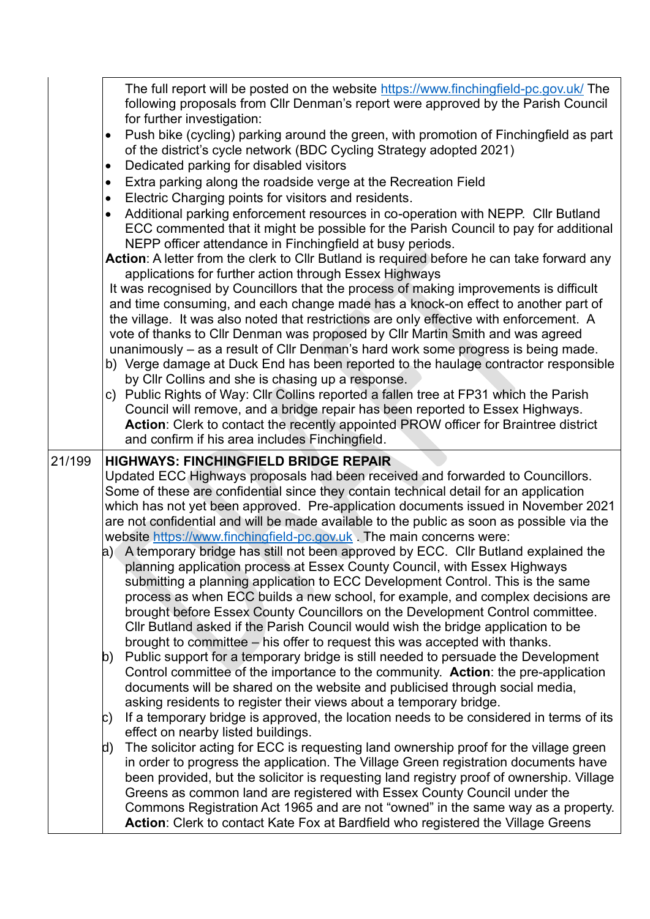|        |                                                        | The full report will be posted on the website https://www.finchingfield-pc.gov.uk/ The<br>following proposals from Cllr Denman's report were approved by the Parish Council<br>for further investigation:                                                                                                                                                                                                                                                                                                                                                                                                                                               |  |  |
|--------|--------------------------------------------------------|---------------------------------------------------------------------------------------------------------------------------------------------------------------------------------------------------------------------------------------------------------------------------------------------------------------------------------------------------------------------------------------------------------------------------------------------------------------------------------------------------------------------------------------------------------------------------------------------------------------------------------------------------------|--|--|
|        | $\bullet$                                              | Push bike (cycling) parking around the green, with promotion of Finchingfield as part<br>of the district's cycle network (BDC Cycling Strategy adopted 2021)                                                                                                                                                                                                                                                                                                                                                                                                                                                                                            |  |  |
|        | $\bullet$                                              | Dedicated parking for disabled visitors                                                                                                                                                                                                                                                                                                                                                                                                                                                                                                                                                                                                                 |  |  |
|        | ٠                                                      | Extra parking along the roadside verge at the Recreation Field                                                                                                                                                                                                                                                                                                                                                                                                                                                                                                                                                                                          |  |  |
|        | $\bullet$                                              | Electric Charging points for visitors and residents.                                                                                                                                                                                                                                                                                                                                                                                                                                                                                                                                                                                                    |  |  |
|        | $\bullet$                                              | Additional parking enforcement resources in co-operation with NEPP. Cllr Butland<br>ECC commented that it might be possible for the Parish Council to pay for additional<br>NEPP officer attendance in Finchingfield at busy periods.                                                                                                                                                                                                                                                                                                                                                                                                                   |  |  |
|        |                                                        | Action: A letter from the clerk to Cllr Butland is required before he can take forward any                                                                                                                                                                                                                                                                                                                                                                                                                                                                                                                                                              |  |  |
|        | applications for further action through Essex Highways |                                                                                                                                                                                                                                                                                                                                                                                                                                                                                                                                                                                                                                                         |  |  |
|        |                                                        | It was recognised by Councillors that the process of making improvements is difficult<br>and time consuming, and each change made has a knock-on effect to another part of<br>the village. It was also noted that restrictions are only effective with enforcement. A<br>vote of thanks to Cllr Denman was proposed by Cllr Martin Smith and was agreed<br>unanimously – as a result of Cllr Denman's hard work some progress is being made.<br>b) Verge damage at Duck End has been reported to the haulage contractor responsible                                                                                                                     |  |  |
|        |                                                        | by Cllr Collins and she is chasing up a response.                                                                                                                                                                                                                                                                                                                                                                                                                                                                                                                                                                                                       |  |  |
|        |                                                        | c) Public Rights of Way: Cllr Collins reported a fallen tree at FP31 which the Parish                                                                                                                                                                                                                                                                                                                                                                                                                                                                                                                                                                   |  |  |
|        |                                                        | Council will remove, and a bridge repair has been reported to Essex Highways.                                                                                                                                                                                                                                                                                                                                                                                                                                                                                                                                                                           |  |  |
|        |                                                        | Action: Clerk to contact the recently appointed PROW officer for Braintree district                                                                                                                                                                                                                                                                                                                                                                                                                                                                                                                                                                     |  |  |
|        |                                                        | and confirm if his area includes Finchingfield.                                                                                                                                                                                                                                                                                                                                                                                                                                                                                                                                                                                                         |  |  |
|        |                                                        |                                                                                                                                                                                                                                                                                                                                                                                                                                                                                                                                                                                                                                                         |  |  |
|        |                                                        |                                                                                                                                                                                                                                                                                                                                                                                                                                                                                                                                                                                                                                                         |  |  |
| 21/199 |                                                        | <b>HIGHWAYS: FINCHINGFIELD BRIDGE REPAIR</b><br>Updated ECC Highways proposals had been received and forwarded to Councillors.<br>Some of these are confidential since they contain technical detail for an application<br>which has not yet been approved. Pre-application documents issued in November 2021<br>are not confidential and will be made available to the public as soon as possible via the<br>website https://www.finchingfield-pc.gov.uk. The main concerns were:<br>a) A temporary bridge has still not been approved by ECC. Cllr Butland explained the<br>planning application process at Essex County Council, with Essex Highways |  |  |
|        |                                                        | submitting a planning application to ECC Development Control. This is the same<br>process as when ECC builds a new school, for example, and complex decisions are<br>brought before Essex County Councillors on the Development Control committee.<br>CIIr Butland asked if the Parish Council would wish the bridge application to be                                                                                                                                                                                                                                                                                                                  |  |  |
|        |                                                        | brought to committee – his offer to request this was accepted with thanks.                                                                                                                                                                                                                                                                                                                                                                                                                                                                                                                                                                              |  |  |
|        | b)                                                     | Public support for a temporary bridge is still needed to persuade the Development                                                                                                                                                                                                                                                                                                                                                                                                                                                                                                                                                                       |  |  |
|        |                                                        | Control committee of the importance to the community. Action: the pre-application                                                                                                                                                                                                                                                                                                                                                                                                                                                                                                                                                                       |  |  |
|        |                                                        | documents will be shared on the website and publicised through social media,                                                                                                                                                                                                                                                                                                                                                                                                                                                                                                                                                                            |  |  |
|        |                                                        | asking residents to register their views about a temporary bridge.                                                                                                                                                                                                                                                                                                                                                                                                                                                                                                                                                                                      |  |  |
|        | C)                                                     | If a temporary bridge is approved, the location needs to be considered in terms of its                                                                                                                                                                                                                                                                                                                                                                                                                                                                                                                                                                  |  |  |
|        |                                                        | effect on nearby listed buildings.                                                                                                                                                                                                                                                                                                                                                                                                                                                                                                                                                                                                                      |  |  |
|        | d)                                                     | The solicitor acting for ECC is requesting land ownership proof for the village green                                                                                                                                                                                                                                                                                                                                                                                                                                                                                                                                                                   |  |  |
|        |                                                        | in order to progress the application. The Village Green registration documents have                                                                                                                                                                                                                                                                                                                                                                                                                                                                                                                                                                     |  |  |
|        |                                                        | been provided, but the solicitor is requesting land registry proof of ownership. Village                                                                                                                                                                                                                                                                                                                                                                                                                                                                                                                                                                |  |  |
|        |                                                        | Greens as common land are registered with Essex County Council under the<br>Commons Registration Act 1965 and are not "owned" in the same way as a property.                                                                                                                                                                                                                                                                                                                                                                                                                                                                                            |  |  |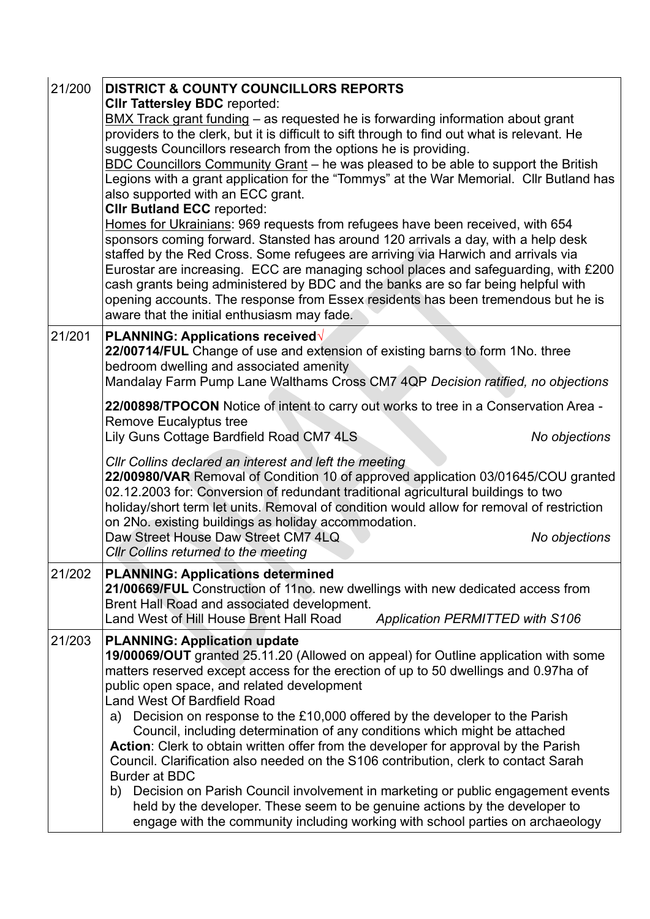| 21/200 | <b>DISTRICT &amp; COUNTY COUNCILLORS REPORTS</b>                                                                                                                                                                                                                                                                                                                                                                                                                                                                                                                                                                                                                                                                                                                                                                                                                                                                                                                                                                                                                                                                                 |  |  |  |
|--------|----------------------------------------------------------------------------------------------------------------------------------------------------------------------------------------------------------------------------------------------------------------------------------------------------------------------------------------------------------------------------------------------------------------------------------------------------------------------------------------------------------------------------------------------------------------------------------------------------------------------------------------------------------------------------------------------------------------------------------------------------------------------------------------------------------------------------------------------------------------------------------------------------------------------------------------------------------------------------------------------------------------------------------------------------------------------------------------------------------------------------------|--|--|--|
|        | <b>CIIr Tattersley BDC</b> reported:<br>BMX Track grant funding - as requested he is forwarding information about grant<br>providers to the clerk, but it is difficult to sift through to find out what is relevant. He<br>suggests Councillors research from the options he is providing.<br>BDC Councillors Community Grant - he was pleased to be able to support the British<br>Legions with a grant application for the "Tommys" at the War Memorial. Cllr Butland has<br>also supported with an ECC grant.<br><b>Clir Butland ECC reported:</b><br>Homes for Ukrainians: 969 requests from refugees have been received, with 654<br>sponsors coming forward. Stansted has around 120 arrivals a day, with a help desk<br>staffed by the Red Cross. Some refugees are arriving via Harwich and arrivals via<br>Eurostar are increasing. ECC are managing school places and safeguarding, with £200<br>cash grants being administered by BDC and the banks are so far being helpful with<br>opening accounts. The response from Essex residents has been tremendous but he is<br>aware that the initial enthusiasm may fade. |  |  |  |
| 21/201 | PLANNING: Applications received√<br>22/00714/FUL Change of use and extension of existing barns to form 1No. three<br>bedroom dwelling and associated amenity<br>Mandalay Farm Pump Lane Walthams Cross CM7 4QP Decision ratified, no objections                                                                                                                                                                                                                                                                                                                                                                                                                                                                                                                                                                                                                                                                                                                                                                                                                                                                                  |  |  |  |
|        | 22/00898/TPOCON Notice of intent to carry out works to tree in a Conservation Area -<br><b>Remove Eucalyptus tree</b><br>Lily Guns Cottage Bardfield Road CM7 4LS<br>No objections                                                                                                                                                                                                                                                                                                                                                                                                                                                                                                                                                                                                                                                                                                                                                                                                                                                                                                                                               |  |  |  |
|        | Cllr Collins declared an interest and left the meeting<br>22/00980/VAR Removal of Condition 10 of approved application 03/01645/COU granted<br>02.12.2003 for: Conversion of redundant traditional agricultural buildings to two<br>holiday/short term let units. Removal of condition would allow for removal of restriction<br>on 2No. existing buildings as holiday accommodation.<br>Daw Street House Daw Street CM7 4LQ<br>No objections<br>Cllr Collins returned to the meeting                                                                                                                                                                                                                                                                                                                                                                                                                                                                                                                                                                                                                                            |  |  |  |
| 21/202 | <b>PLANNING: Applications determined</b><br>21/00669/FUL Construction of 11no. new dwellings with new dedicated access from<br>Brent Hall Road and associated development.<br>Land West of Hill House Brent Hall Road<br><b>Application PERMITTED with S106</b>                                                                                                                                                                                                                                                                                                                                                                                                                                                                                                                                                                                                                                                                                                                                                                                                                                                                  |  |  |  |
| 21/203 | <b>PLANNING: Application update</b><br>19/00069/OUT granted 25.11.20 (Allowed on appeal) for Outline application with some<br>matters reserved except access for the erection of up to 50 dwellings and 0.97ha of<br>public open space, and related development<br>Land West Of Bardfield Road<br>a) Decision on response to the £10,000 offered by the developer to the Parish<br>Council, including determination of any conditions which might be attached<br>Action: Clerk to obtain written offer from the developer for approval by the Parish<br>Council. Clarification also needed on the S106 contribution, clerk to contact Sarah<br><b>Burder at BDC</b><br>Decision on Parish Council involvement in marketing or public engagement events<br>b)<br>held by the developer. These seem to be genuine actions by the developer to<br>engage with the community including working with school parties on archaeology                                                                                                                                                                                                    |  |  |  |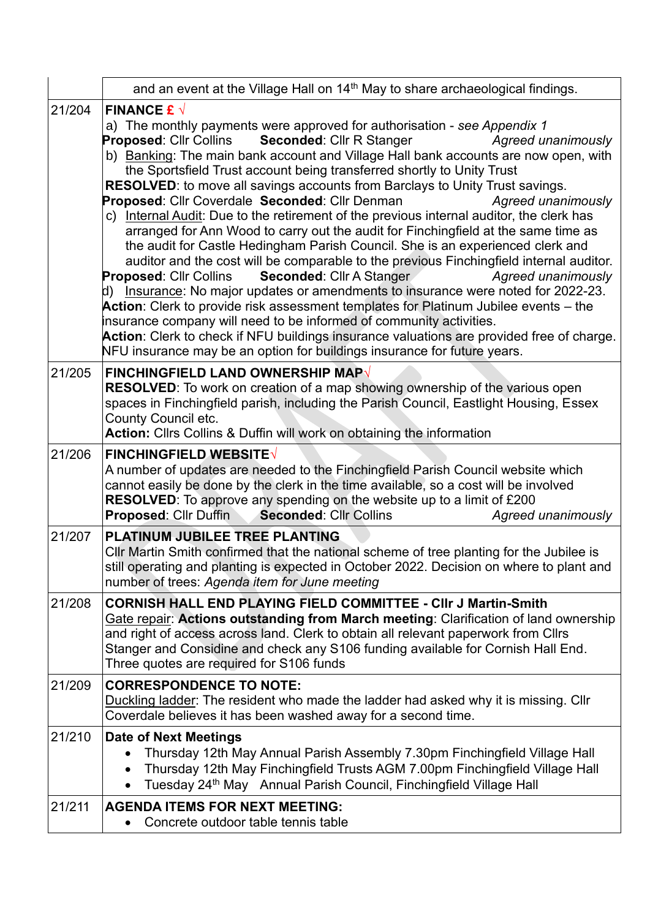|        | and an event at the Village Hall on 14 <sup>th</sup> May to share archaeological findings.                                                                                                                                                                                                                                                                                                                                                                                                                                                                                                                                                                                                                                                                                                                                                                                                                                                                                                                                                                                                                                                                                                                                                                                                                                                                                                         |
|--------|----------------------------------------------------------------------------------------------------------------------------------------------------------------------------------------------------------------------------------------------------------------------------------------------------------------------------------------------------------------------------------------------------------------------------------------------------------------------------------------------------------------------------------------------------------------------------------------------------------------------------------------------------------------------------------------------------------------------------------------------------------------------------------------------------------------------------------------------------------------------------------------------------------------------------------------------------------------------------------------------------------------------------------------------------------------------------------------------------------------------------------------------------------------------------------------------------------------------------------------------------------------------------------------------------------------------------------------------------------------------------------------------------|
| 21/204 | FINANCE £ $\sqrt{ }$<br>a) The monthly payments were approved for authorisation - see Appendix 1<br>Seconded: Cllr R Stanger<br><b>Proposed:</b> Cllr Collins<br>Agreed unanimously<br>b) Banking: The main bank account and Village Hall bank accounts are now open, with<br>the Sportsfield Trust account being transferred shortly to Unity Trust<br><b>RESOLVED:</b> to move all savings accounts from Barclays to Unity Trust savings.<br>Proposed: Cllr Coverdale Seconded: Cllr Denman<br>Agreed unanimously<br>c) Internal Audit: Due to the retirement of the previous internal auditor, the clerk has<br>arranged for Ann Wood to carry out the audit for Finchingfield at the same time as<br>the audit for Castle Hedingham Parish Council. She is an experienced clerk and<br>auditor and the cost will be comparable to the previous Finchingfield internal auditor.<br>Seconded: Cllr A Stanger<br><b>Proposed: Cllr Collins</b><br>Agreed unanimously<br>d) Insurance: No major updates or amendments to insurance were noted for 2022-23.<br>Action: Clerk to provide risk assessment templates for Platinum Jubilee events - the<br>insurance company will need to be informed of community activities.<br>Action: Clerk to check if NFU buildings insurance valuations are provided free of charge.<br>NFU insurance may be an option for buildings insurance for future years. |
| 21/205 | FINCHINGFIELD LAND OWNERSHIP MAP $\sqrt$<br><b>RESOLVED:</b> To work on creation of a map showing ownership of the various open<br>spaces in Finchingfield parish, including the Parish Council, Eastlight Housing, Essex<br><b>County Council etc.</b><br>Action: Cllrs Collins & Duffin will work on obtaining the information                                                                                                                                                                                                                                                                                                                                                                                                                                                                                                                                                                                                                                                                                                                                                                                                                                                                                                                                                                                                                                                                   |
| 21/206 | <b>FINCHINGFIELD WEBSITE√</b><br>A number of updates are needed to the Finchingfield Parish Council website which<br>cannot easily be done by the clerk in the time available, so a cost will be involved<br><b>RESOLVED:</b> To approve any spending on the website up to a limit of £200<br><b>Proposed: Cllr Duffin</b><br><b>Seconded: Cllr Collins</b><br>Agreed unanimously                                                                                                                                                                                                                                                                                                                                                                                                                                                                                                                                                                                                                                                                                                                                                                                                                                                                                                                                                                                                                  |
| 21/207 | PLATINUM JUBILEE TREE PLANTING<br>CIIr Martin Smith confirmed that the national scheme of tree planting for the Jubilee is<br>still operating and planting is expected in October 2022. Decision on where to plant and<br>number of trees: Agenda item for June meeting                                                                                                                                                                                                                                                                                                                                                                                                                                                                                                                                                                                                                                                                                                                                                                                                                                                                                                                                                                                                                                                                                                                            |
| 21/208 | <b>CORNISH HALL END PLAYING FIELD COMMITTEE - CIIr J Martin-Smith</b><br>Gate repair: Actions outstanding from March meeting: Clarification of land ownership<br>and right of access across land. Clerk to obtain all relevant paperwork from Cllrs<br>Stanger and Considine and check any S106 funding available for Cornish Hall End.<br>Three quotes are required for S106 funds                                                                                                                                                                                                                                                                                                                                                                                                                                                                                                                                                                                                                                                                                                                                                                                                                                                                                                                                                                                                                |
| 21/209 | <b>CORRESPONDENCE TO NOTE:</b><br>Duckling ladder: The resident who made the ladder had asked why it is missing. Cllr<br>Coverdale believes it has been washed away for a second time.                                                                                                                                                                                                                                                                                                                                                                                                                                                                                                                                                                                                                                                                                                                                                                                                                                                                                                                                                                                                                                                                                                                                                                                                             |
| 21/210 | <b>Date of Next Meetings</b><br>Thursday 12th May Annual Parish Assembly 7.30pm Finchingfield Village Hall<br>Thursday 12th May Finchingfield Trusts AGM 7.00pm Finchingfield Village Hall<br>$\bullet$<br>Tuesday 24 <sup>th</sup> May Annual Parish Council, Finchingfield Village Hall<br>$\bullet$                                                                                                                                                                                                                                                                                                                                                                                                                                                                                                                                                                                                                                                                                                                                                                                                                                                                                                                                                                                                                                                                                             |
| 21/211 | <b>AGENDA ITEMS FOR NEXT MEETING:</b><br>Concrete outdoor table tennis table                                                                                                                                                                                                                                                                                                                                                                                                                                                                                                                                                                                                                                                                                                                                                                                                                                                                                                                                                                                                                                                                                                                                                                                                                                                                                                                       |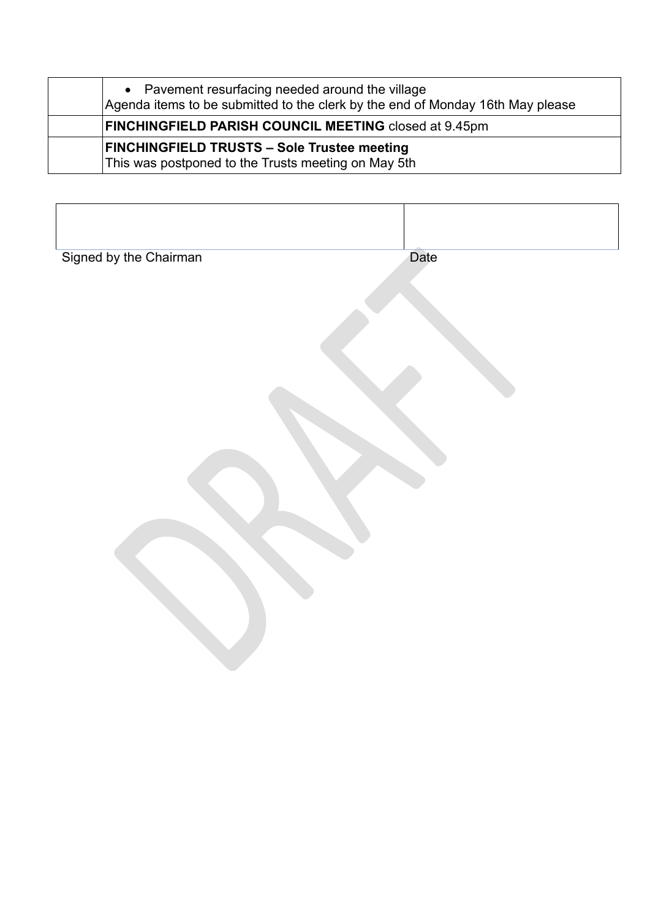| • Pavement resurfacing needed around the village<br>Agenda items to be submitted to the clerk by the end of Monday 16th May please |
|------------------------------------------------------------------------------------------------------------------------------------|
| <b>FINCHINGFIELD PARISH COUNCIL MEETING closed at 9.45pm</b>                                                                       |
| <b>FINCHINGFIELD TRUSTS - Sole Trustee meeting</b><br>This was postponed to the Trusts meeting on May 5th                          |

| Signed by the Chairman | Date |
|------------------------|------|
|                        |      |
|                        |      |
|                        |      |
|                        |      |
|                        |      |
|                        |      |
|                        |      |
|                        |      |
|                        |      |
|                        |      |
|                        |      |
|                        |      |
|                        |      |